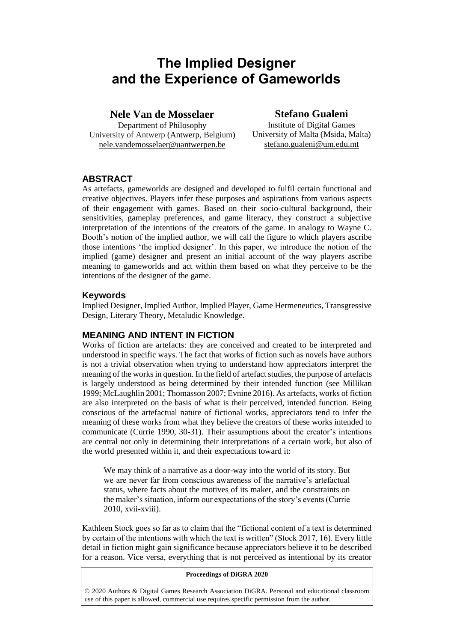# **The Implied Designer and the Experience of Gameworlds**

# **Nele Van de Mosselaer**

Department of Philosophy University of Antwerp (Antwerp, Belgium) nele.vandemosselaer@uantwerpen.be

# **Stefano Gualeni**

Institute of Digital Games University of Malta (Msida, Malta) stefano.gualeni@um.edu.mt

# **ABSTRACT**

As artefacts, gameworlds are designed and developed to fulfil certain functional and creative objectives. Players infer these purposes and aspirations from various aspects of their engagement with games. Based on their socio-cultural background, their sensitivities, gameplay preferences, and game literacy, they construct a subjective interpretation of the intentions of the creators of the game. In analogy to Wayne C. Booth's notion of the implied author, we will call the figure to which players ascribe those intentions 'the implied designer'. In this paper, we introduce the notion of the implied (game) designer and present an initial account of the way players ascribe meaning to gameworlds and act within them based on what they perceive to be the intentions of the designer of the game.

#### **Keywords**

Implied Designer, Implied Author, Implied Player, Game Hermeneutics, Transgressive Design, Literary Theory, Metaludic Knowledge.

## **MEANING AND INTENT IN FICTION**

Works of fiction are artefacts: they are conceived and created to be interpreted and understood in specific ways. The fact that works of fiction such as novels have authors is not a trivial observation when trying to understand how appreciators interpret the meaning of the works in question. In the field of artefact studies, the purpose of artefacts is largely understood as being determined by their intended function (see Millikan 1999; McLaughlin 2001; Thomasson 2007; Evnine 2016). As artefacts, works of fiction are also interpreted on the basis of what is their perceived, intended function. Being conscious of the artefactual nature of fictional works, appreciators tend to infer the meaning of these works from what they believe the creators of these works intended to communicate (Currie 1990, 30-31). Their assumptions about the creator's intentions are central not only in determining their interpretations of a certain work, but also of the world presented within it, and their expectations toward it:

We may think of a narrative as a door-way into the world of its story. But we are never far from conscious awareness of the narrative's artefactual status, where facts about the motives of its maker, and the constraints on the maker's situation, inform our expectations of the story's events (Currie 2010, xvii-xviii).

Kathleen Stock goes so far as to claim that the "fictional content of a text is determined by certain of the intentions with which the text is written" (Stock 2017, 16). Every little detail in fiction might gain significance because appreciators believe it to be described for a reason. Vice versa, everything that is not perceived as intentional by its creator

#### **Proceedings of DiGRA 2020**

© 2020 Authors & Digital Games Research Association DiGRA. Personal and educational classroom use of this paper is allowed, commercial use requires specific permission from the author.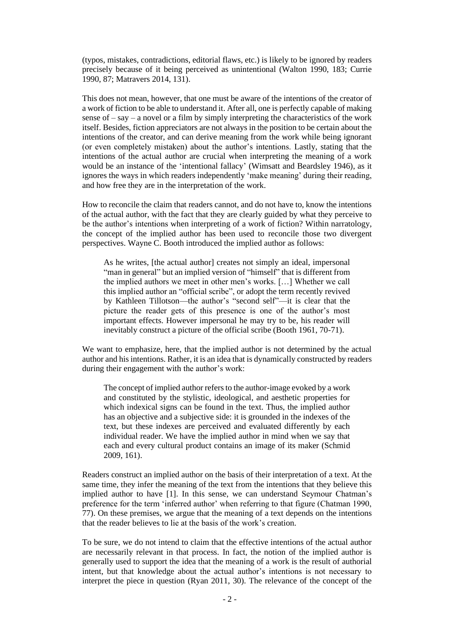(typos, mistakes, contradictions, editorial flaws, etc.) is likely to be ignored by readers precisely because of it being perceived as unintentional (Walton 1990, 183; Currie 1990, 87; Matravers 2014, 131).

This does not mean, however, that one must be aware of the intentions of the creator of a work of fiction to be able to understand it. After all, one is perfectly capable of making sense of  $-$  say  $-$  a novel or a film by simply interpreting the characteristics of the work itself. Besides, fiction appreciators are not always in the position to be certain about the intentions of the creator, and can derive meaning from the work while being ignorant (or even completely mistaken) about the author's intentions. Lastly, stating that the intentions of the actual author are crucial when interpreting the meaning of a work would be an instance of the 'intentional fallacy' (Wimsatt and Beardsley 1946), as it ignores the ways in which readers independently 'make meaning' during their reading, and how free they are in the interpretation of the work.

How to reconcile the claim that readers cannot, and do not have to, know the intentions of the actual author, with the fact that they are clearly guided by what they perceive to be the author's intentions when interpreting of a work of fiction? Within narratology, the concept of the implied author has been used to reconcile those two divergent perspectives. Wayne C. Booth introduced the implied author as follows:

As he writes, [the actual author] creates not simply an ideal, impersonal "man in general" but an implied version of "himself" that is different from the implied authors we meet in other men's works. […] Whether we call this implied author an "official scribe", or adopt the term recently revived by Kathleen Tillotson—the author's "second self"—it is clear that the picture the reader gets of this presence is one of the author's most important effects. However impersonal he may try to be, his reader will inevitably construct a picture of the official scribe (Booth 1961, 70-71).

We want to emphasize, here, that the implied author is not determined by the actual author and his intentions. Rather, it is an idea that is dynamically constructed by readers during their engagement with the author's work:

The concept of implied author refers to the author-image evoked by a work and constituted by the stylistic, ideological, and aesthetic properties for which indexical signs can be found in the text. Thus, the implied author has an objective and a subjective side: it is grounded in the indexes of the text, but these indexes are perceived and evaluated differently by each individual reader. We have the implied author in mind when we say that each and every cultural product contains an image of its maker (Schmid 2009, 161).

Readers construct an implied author on the basis of their interpretation of a text. At the same time, they infer the meaning of the text from the intentions that they believe this implied author to have [1]. In this sense, we can understand Seymour Chatman's preference for the term 'inferred author' when referring to that figure (Chatman 1990, 77). On these premises, we argue that the meaning of a text depends on the intentions that the reader believes to lie at the basis of the work's creation.

To be sure, we do not intend to claim that the effective intentions of the actual author are necessarily relevant in that process. In fact, the notion of the implied author is generally used to support the idea that the meaning of a work is the result of authorial intent, but that knowledge about the actual author's intentions is not necessary to interpret the piece in question (Ryan 2011, 30). The relevance of the concept of the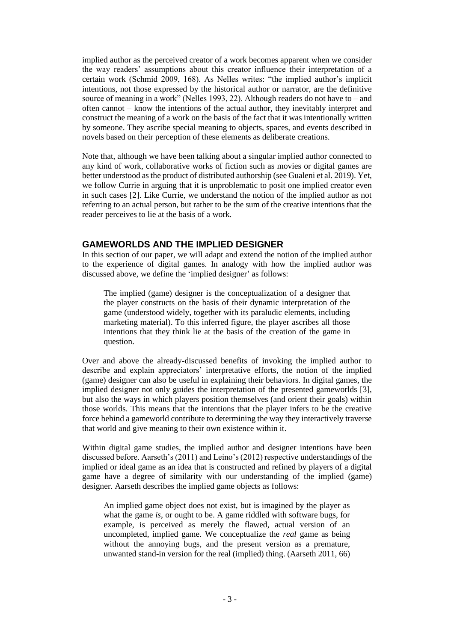implied author as the perceived creator of a work becomes apparent when we consider the way readers' assumptions about this creator influence their interpretation of a certain work (Schmid 2009, 168). As Nelles writes: "the implied author's implicit intentions, not those expressed by the historical author or narrator, are the definitive source of meaning in a work" (Nelles 1993, 22). Although readers do not have to – and often cannot – know the intentions of the actual author, they inevitably interpret and construct the meaning of a work on the basis of the fact that it was intentionally written by someone. They ascribe special meaning to objects, spaces, and events described in novels based on their perception of these elements as deliberate creations.

Note that, although we have been talking about a singular implied author connected to any kind of work, collaborative works of fiction such as movies or digital games are better understood as the product of distributed authorship (see Gualeni et al. 2019). Yet, we follow Currie in arguing that it is unproblematic to posit one implied creator even in such cases [2]. Like Currie, we understand the notion of the implied author as not referring to an actual person, but rather to be the sum of the creative intentions that the reader perceives to lie at the basis of a work.

## **GAMEWORLDS AND THE IMPLIED DESIGNER**

In this section of our paper, we will adapt and extend the notion of the implied author to the experience of digital games. In analogy with how the implied author was discussed above, we define the 'implied designer' as follows:

The implied (game) designer is the conceptualization of a designer that the player constructs on the basis of their dynamic interpretation of the game (understood widely, together with its paraludic elements, including marketing material). To this inferred figure, the player ascribes all those intentions that they think lie at the basis of the creation of the game in question.

Over and above the already-discussed benefits of invoking the implied author to describe and explain appreciators' interpretative efforts, the notion of the implied (game) designer can also be useful in explaining their behaviors. In digital games, the implied designer not only guides the interpretation of the presented gameworlds [3], but also the ways in which players position themselves (and orient their goals) within those worlds. This means that the intentions that the player infers to be the creative force behind a gameworld contribute to determining the way they interactively traverse that world and give meaning to their own existence within it.

Within digital game studies, the implied author and designer intentions have been discussed before. Aarseth's (2011) and Leino's (2012) respective understandings of the implied or ideal game as an idea that is constructed and refined by players of a digital game have a degree of similarity with our understanding of the implied (game) designer. Aarseth describes the implied game objects as follows:

An implied game object does not exist, but is imagined by the player as what the game *is*, or ought to be. A game riddled with software bugs, for example, is perceived as merely the flawed, actual version of an uncompleted, implied game. We conceptualize the *real* game as being without the annoying bugs, and the present version as a premature, unwanted stand-in version for the real (implied) thing. (Aarseth 2011, 66)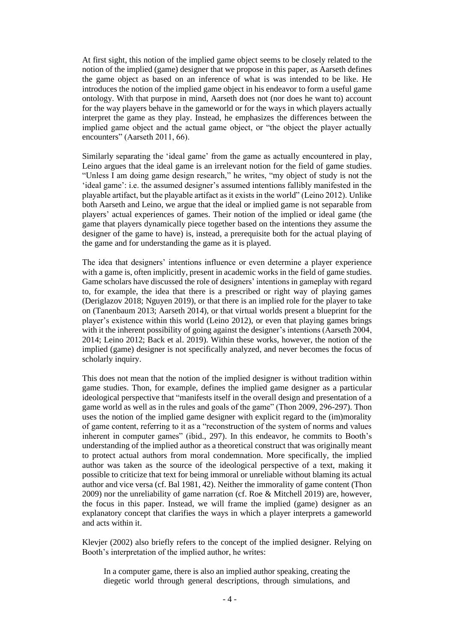At first sight, this notion of the implied game object seems to be closely related to the notion of the implied (game) designer that we propose in this paper, as Aarseth defines the game object as based on an inference of what is was intended to be like. He introduces the notion of the implied game object in his endeavor to form a useful game ontology. With that purpose in mind, Aarseth does not (nor does he want to) account for the way players behave in the gameworld or for the ways in which players actually interpret the game as they play. Instead, he emphasizes the differences between the implied game object and the actual game object, or "the object the player actually encounters" (Aarseth 2011, 66).

Similarly separating the 'ideal game' from the game as actually encountered in play, Leino argues that the ideal game is an irrelevant notion for the field of game studies. "Unless I am doing game design research," he writes, "my object of study is not the 'ideal game': i.e. the assumed designer's assumed intentions fallibly manifested in the playable artifact, but the playable artifact as it exists in the world" (Leino 2012). Unlike both Aarseth and Leino, we argue that the ideal or implied game is not separable from players' actual experiences of games. Their notion of the implied or ideal game (the game that players dynamically piece together based on the intentions they assume the designer of the game to have) is, instead, a prerequisite both for the actual playing of the game and for understanding the game as it is played.

The idea that designers' intentions influence or even determine a player experience with a game is, often implicitly, present in academic works in the field of game studies. Game scholars have discussed the role of designers' intentions in gameplay with regard to, for example, the idea that there is a prescribed or right way of playing games (Deriglazov 2018; Nguyen 2019), or that there is an implied role for the player to take on (Tanenbaum 2013; Aarseth 2014), or that virtual worlds present a blueprint for the player's existence within this world (Leino 2012), or even that playing games brings with it the inherent possibility of going against the designer's intentions (Aarseth 2004, 2014; Leino 2012; Back et al. 2019). Within these works, however, the notion of the implied (game) designer is not specifically analyzed, and never becomes the focus of scholarly inquiry.

This does not mean that the notion of the implied designer is without tradition within game studies. Thon, for example, defines the implied game designer as a particular ideological perspective that "manifests itself in the overall design and presentation of a game world as well as in the rules and goals of the game" (Thon 2009, 296-297). Thon uses the notion of the implied game designer with explicit regard to the (im)morality of game content, referring to it as a "reconstruction of the system of norms and values inherent in computer games" (ibid., 297). In this endeavor, he commits to Booth's understanding of the implied author as a theoretical construct that was originally meant to protect actual authors from moral condemnation. More specifically, the implied author was taken as the source of the ideological perspective of a text, making it possible to criticize that text for being immoral or unreliable without blaming its actual author and vice versa (cf. Bal 1981, 42). Neither the immorality of game content (Thon 2009) nor the unreliability of game narration (cf. Roe & Mitchell 2019) are, however, the focus in this paper. Instead, we will frame the implied (game) designer as an explanatory concept that clarifies the ways in which a player interprets a gameworld and acts within it.

Klevjer (2002) also briefly refers to the concept of the implied designer. Relying on Booth's interpretation of the implied author, he writes:

In a computer game, there is also an implied author speaking, creating the diegetic world through general descriptions, through simulations, and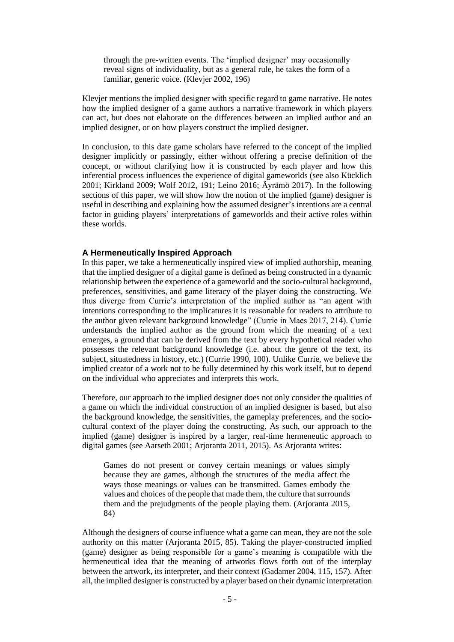through the pre-written events. The 'implied designer' may occasionally reveal signs of individuality, but as a general rule, he takes the form of a familiar, generic voice. (Klevjer 2002, 196)

Klevjer mentions the implied designer with specific regard to game narrative. He notes how the implied designer of a game authors a narrative framework in which players can act, but does not elaborate on the differences between an implied author and an implied designer, or on how players construct the implied designer.

In conclusion, to this date game scholars have referred to the concept of the implied designer implicitly or passingly, either without offering a precise definition of the concept, or without clarifying how it is constructed by each player and how this inferential process influences the experience of digital gameworlds (see also Kücklich 2001; Kirkland 2009; Wolf 2012, 191; Leino 2016; Äyrämö 2017). In the following sections of this paper, we will show how the notion of the implied (game) designer is useful in describing and explaining how the assumed designer's intentions are a central factor in guiding players' interpretations of gameworlds and their active roles within these worlds.

#### **A Hermeneutically Inspired Approach**

In this paper, we take a hermeneutically inspired view of implied authorship, meaning that the implied designer of a digital game is defined as being constructed in a dynamic relationship between the experience of a gameworld and the socio-cultural background, preferences, sensitivities, and game literacy of the player doing the constructing. We thus diverge from Currie's interpretation of the implied author as "an agent with intentions corresponding to the implicatures it is reasonable for readers to attribute to the author given relevant background knowledge" (Currie in Maes 2017, 214). Currie understands the implied author as the ground from which the meaning of a text emerges, a ground that can be derived from the text by every hypothetical reader who possesses the relevant background knowledge (i.e. about the genre of the text, its subject, situatedness in history, etc.) (Currie 1990, 100). Unlike Currie, we believe the implied creator of a work not to be fully determined by this work itself, but to depend on the individual who appreciates and interprets this work.

Therefore, our approach to the implied designer does not only consider the qualities of a game on which the individual construction of an implied designer is based, but also the background knowledge, the sensitivities, the gameplay preferences, and the sociocultural context of the player doing the constructing. As such, our approach to the implied (game) designer is inspired by a larger, real-time hermeneutic approach to digital games (see Aarseth 2001; Arjoranta 2011, 2015). As Arjoranta writes:

Games do not present or convey certain meanings or values simply because they are games, although the structures of the media affect the ways those meanings or values can be transmitted. Games embody the values and choices of the people that made them, the culture that surrounds them and the prejudgments of the people playing them. (Arjoranta 2015, 84)

Although the designers of course influence what a game can mean, they are not the sole authority on this matter (Arjoranta 2015, 85). Taking the player-constructed implied (game) designer as being responsible for a game's meaning is compatible with the hermeneutical idea that the meaning of artworks flows forth out of the interplay between the artwork, its interpreter, and their context (Gadamer 2004, 115, 157). After all, the implied designer is constructed by a player based on their dynamic interpretation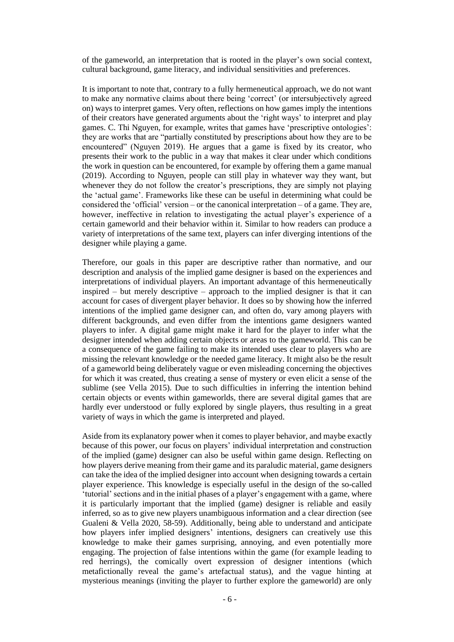of the gameworld, an interpretation that is rooted in the player's own social context, cultural background, game literacy, and individual sensitivities and preferences.

It is important to note that, contrary to a fully hermeneutical approach, we do not want to make any normative claims about there being 'correct' (or intersubjectively agreed on) ways to interpret games. Very often, reflections on how games imply the intentions of their creators have generated arguments about the 'right ways' to interpret and play games. C. Thi Nguyen, for example, writes that games have 'prescriptive ontologies': they are works that are "partially constituted by prescriptions about how they are to be encountered" (Nguyen 2019). He argues that a game is fixed by its creator, who presents their work to the public in a way that makes it clear under which conditions the work in question can be encountered, for example by offering them a game manual (2019). According to Nguyen, people can still play in whatever way they want, but whenever they do not follow the creator's prescriptions, they are simply not playing the 'actual game'. Frameworks like these can be useful in determining what could be considered the 'official' version – or the canonical interpretation – of a game. They are, however, ineffective in relation to investigating the actual player's experience of a certain gameworld and their behavior within it. Similar to how readers can produce a variety of interpretations of the same text, players can infer diverging intentions of the designer while playing a game.

Therefore, our goals in this paper are descriptive rather than normative, and our description and analysis of the implied game designer is based on the experiences and interpretations of individual players. An important advantage of this hermeneutically inspired – but merely descriptive – approach to the implied designer is that it can account for cases of divergent player behavior. It does so by showing how the inferred intentions of the implied game designer can, and often do, vary among players with different backgrounds, and even differ from the intentions game designers wanted players to infer. A digital game might make it hard for the player to infer what the designer intended when adding certain objects or areas to the gameworld. This can be a consequence of the game failing to make its intended uses clear to players who are missing the relevant knowledge or the needed game literacy. It might also be the result of a gameworld being deliberately vague or even misleading concerning the objectives for which it was created, thus creating a sense of mystery or even elicit a sense of the sublime (see Vella 2015). Due to such difficulties in inferring the intention behind certain objects or events within gameworlds, there are several digital games that are hardly ever understood or fully explored by single players, thus resulting in a great variety of ways in which the game is interpreted and played.

Aside from its explanatory power when it comes to player behavior, and maybe exactly because of this power, our focus on players' individual interpretation and construction of the implied (game) designer can also be useful within game design. Reflecting on how players derive meaning from their game and its paraludic material, game designers can take the idea of the implied designer into account when designing towards a certain player experience. This knowledge is especially useful in the design of the so-called 'tutorial' sections and in the initial phases of a player's engagement with a game, where it is particularly important that the implied (game) designer is reliable and easily inferred, so as to give new players unambiguous information and a clear direction (see Gualeni & Vella 2020, 58-59). Additionally, being able to understand and anticipate how players infer implied designers' intentions, designers can creatively use this knowledge to make their games surprising, annoying, and even potentially more engaging. The projection of false intentions within the game (for example leading to red herrings), the comically overt expression of designer intentions (which metafictionally reveal the game's artefactual status), and the vague hinting at mysterious meanings (inviting the player to further explore the gameworld) are only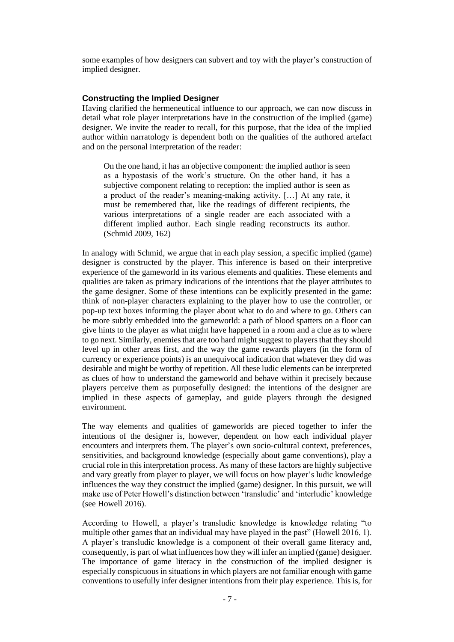some examples of how designers can subvert and toy with the player's construction of implied designer.

#### **Constructing the Implied Designer**

Having clarified the hermeneutical influence to our approach, we can now discuss in detail what role player interpretations have in the construction of the implied (game) designer. We invite the reader to recall, for this purpose, that the idea of the implied author within narratology is dependent both on the qualities of the authored artefact and on the personal interpretation of the reader:

On the one hand, it has an objective component: the implied author is seen as a hypostasis of the work's structure. On the other hand, it has a subjective component relating to reception: the implied author is seen as a product of the reader's meaning-making activity. […] At any rate, it must be remembered that, like the readings of different recipients, the various interpretations of a single reader are each associated with a different implied author. Each single reading reconstructs its author. (Schmid 2009, 162)

In analogy with Schmid, we argue that in each play session, a specific implied (game) designer is constructed by the player. This inference is based on their interpretive experience of the gameworld in its various elements and qualities. These elements and qualities are taken as primary indications of the intentions that the player attributes to the game designer. Some of these intentions can be explicitly presented in the game: think of non-player characters explaining to the player how to use the controller, or pop-up text boxes informing the player about what to do and where to go. Others can be more subtly embedded into the gameworld: a path of blood spatters on a floor can give hints to the player as what might have happened in a room and a clue as to where to go next. Similarly, enemies that are too hard might suggest to players that they should level up in other areas first, and the way the game rewards players (in the form of currency or experience points) is an unequivocal indication that whatever they did was desirable and might be worthy of repetition. All these ludic elements can be interpreted as clues of how to understand the gameworld and behave within it precisely because players perceive them as purposefully designed: the intentions of the designer are implied in these aspects of gameplay, and guide players through the designed environment.

The way elements and qualities of gameworlds are pieced together to infer the intentions of the designer is, however, dependent on how each individual player encounters and interprets them. The player's own socio-cultural context, preferences, sensitivities, and background knowledge (especially about game conventions), play a crucial role in this interpretation process. As many of these factors are highly subjective and vary greatly from player to player, we will focus on how player's ludic knowledge influences the way they construct the implied (game) designer. In this pursuit, we will make use of Peter Howell's distinction between 'transludic' and 'interludic' knowledge (see Howell 2016).

According to Howell, a player's transludic knowledge is knowledge relating "to multiple other games that an individual may have played in the past" (Howell 2016, 1). A player's transludic knowledge is a component of their overall game literacy and, consequently, is part of what influences how they will infer an implied (game) designer. The importance of game literacy in the construction of the implied designer is especially conspicuous in situations in which players are not familiar enough with game conventions to usefully infer designer intentions from their play experience. This is, for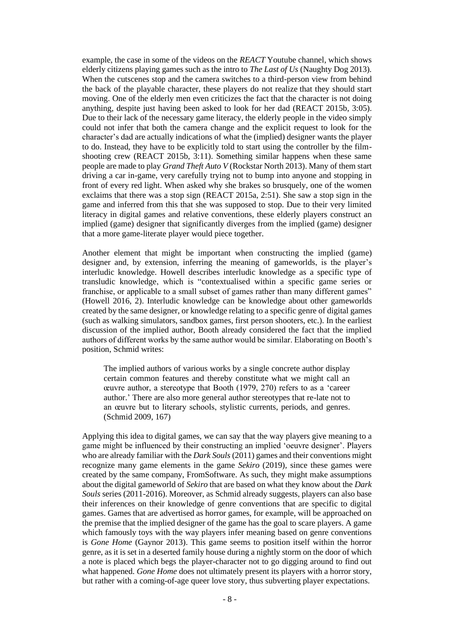example, the case in some of the videos on the *REACT* Youtube channel, which shows elderly citizens playing games such as the intro to *The Last of Us* (Naughty Dog 2013)*.* When the cutscenes stop and the camera switches to a third-person view from behind the back of the playable character, these players do not realize that they should start moving. One of the elderly men even criticizes the fact that the character is not doing anything, despite just having been asked to look for her dad (REACT 2015b, 3:05). Due to their lack of the necessary game literacy, the elderly people in the video simply could not infer that both the camera change and the explicit request to look for the character's dad are actually indications of what the (implied) designer wants the player to do. Instead, they have to be explicitly told to start using the controller by the filmshooting crew (REACT 2015b, 3:11). Something similar happens when these same people are made to play *Grand Theft Auto V* (Rockstar North 2013). Many of them start driving a car in-game, very carefully trying not to bump into anyone and stopping in front of every red light. When asked why she brakes so brusquely, one of the women exclaims that there was a stop sign (REACT 2015a, 2:51). She saw a stop sign in the game and inferred from this that she was supposed to stop. Due to their very limited literacy in digital games and relative conventions, these elderly players construct an implied (game) designer that significantly diverges from the implied (game) designer that a more game-literate player would piece together.

Another element that might be important when constructing the implied (game) designer and, by extension, inferring the meaning of gameworlds, is the player's interludic knowledge. Howell describes interludic knowledge as a specific type of transludic knowledge, which is "contextualised within a specific game series or franchise, or applicable to a small subset of games rather than many different games" (Howell 2016, 2). Interludic knowledge can be knowledge about other gameworlds created by the same designer, or knowledge relating to a specific genre of digital games (such as walking simulators, sandbox games, first person shooters, etc.). In the earliest discussion of the implied author, Booth already considered the fact that the implied authors of different works by the same author would be similar. Elaborating on Booth's position, Schmid writes:

The implied authors of various works by a single concrete author display certain common features and thereby constitute what we might call an œuvre author, a stereotype that Booth (1979, 270) refers to as a 'career author.' There are also more general author stereotypes that re-late not to an œuvre but to literary schools, stylistic currents, periods, and genres. (Schmid 2009, 167)

Applying this idea to digital games, we can say that the way players give meaning to a game might be influenced by their constructing an implied 'oeuvre designer'. Players who are already familiar with the *Dark Souls* (2011) games and their conventions might recognize many game elements in the game *Sekiro* (2019)*,* since these games were created by the same company, FromSoftware. As such, they might make assumptions about the digital gameworld of *Sekiro* that are based on what they know about the *Dark Souls* series (2011-2016). Moreover, as Schmid already suggests, players can also base their inferences on their knowledge of genre conventions that are specific to digital games. Games that are advertised as horror games, for example, will be approached on the premise that the implied designer of the game has the goal to scare players. A game which famously toys with the way players infer meaning based on genre conventions is *Gone Home* (Gaynor 2013). This game seems to position itself within the horror genre, as it is set in a deserted family house during a nightly storm on the door of which a note is placed which begs the player-character not to go digging around to find out what happened. *Gone Home* does not ultimately present its players with a horror story, but rather with a coming-of-age queer love story, thus subverting player expectations.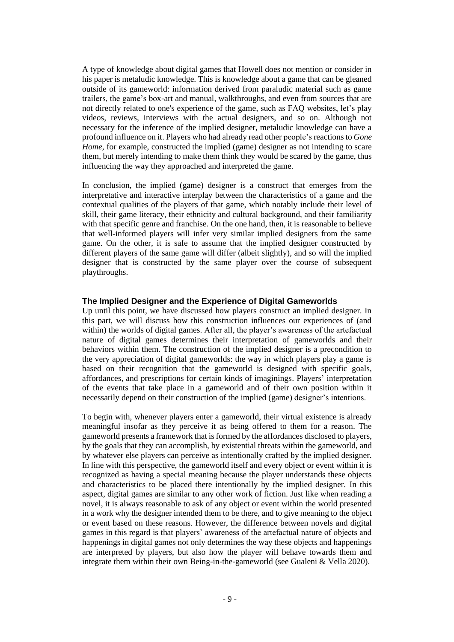A type of knowledge about digital games that Howell does not mention or consider in his paper is metaludic knowledge. This is knowledge about a game that can be gleaned outside of its gameworld: information derived from paraludic material such as game trailers, the game's box-art and manual, walkthroughs, and even from sources that are not directly related to one's experience of the game, such as FAQ websites, let's play videos, reviews, interviews with the actual designers, and so on. Although not necessary for the inference of the implied designer, metaludic knowledge can have a profound influence on it. Players who had already read other people's reactions to *Gone Home*, for example, constructed the implied (game) designer as not intending to scare them, but merely intending to make them think they would be scared by the game, thus influencing the way they approached and interpreted the game.

In conclusion, the implied (game) designer is a construct that emerges from the interpretative and interactive interplay between the characteristics of a game and the contextual qualities of the players of that game, which notably include their level of skill, their game literacy, their ethnicity and cultural background, and their familiarity with that specific genre and franchise. On the one hand, then, it is reasonable to believe that well-informed players will infer very similar implied designers from the same game. On the other, it is safe to assume that the implied designer constructed by different players of the same game will differ (albeit slightly), and so will the implied designer that is constructed by the same player over the course of subsequent playthroughs.

#### **The Implied Designer and the Experience of Digital Gameworlds**

Up until this point, we have discussed how players construct an implied designer. In this part, we will discuss how this construction influences our experiences of (and within) the worlds of digital games. After all, the player's awareness of the artefactual nature of digital games determines their interpretation of gameworlds and their behaviors within them. The construction of the implied designer is a precondition to the very appreciation of digital gameworlds: the way in which players play a game is based on their recognition that the gameworld is designed with specific goals, affordances, and prescriptions for certain kinds of imaginings. Players' interpretation of the events that take place in a gameworld and of their own position within it necessarily depend on their construction of the implied (game) designer's intentions.

To begin with, whenever players enter a gameworld, their virtual existence is already meaningful insofar as they perceive it as being offered to them for a reason. The gameworld presents a framework that is formed by the affordances disclosed to players, by the goals that they can accomplish, by existential threats within the gameworld, and by whatever else players can perceive as intentionally crafted by the implied designer. In line with this perspective, the gameworld itself and every object or event within it is recognized as having a special meaning because the player understands these objects and characteristics to be placed there intentionally by the implied designer. In this aspect, digital games are similar to any other work of fiction. Just like when reading a novel, it is always reasonable to ask of any object or event within the world presented in a work why the designer intended them to be there, and to give meaning to the object or event based on these reasons. However, the difference between novels and digital games in this regard is that players' awareness of the artefactual nature of objects and happenings in digital games not only determines the way these objects and happenings are interpreted by players, but also how the player will behave towards them and integrate them within their own Being-in-the-gameworld (see Gualeni & Vella 2020).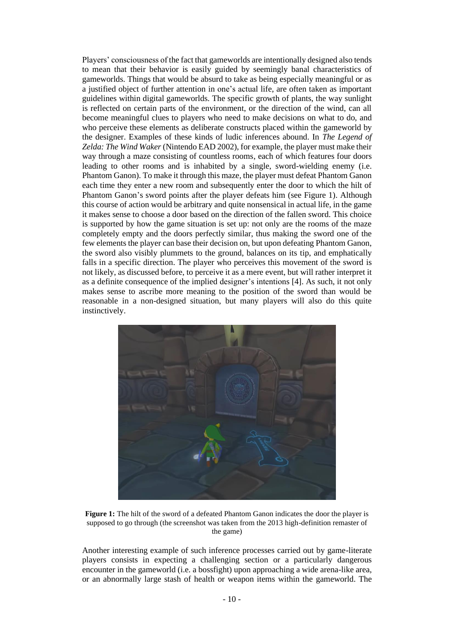Players' consciousness of the fact that gameworlds are intentionally designed also tends to mean that their behavior is easily guided by seemingly banal characteristics of gameworlds. Things that would be absurd to take as being especially meaningful or as a justified object of further attention in one's actual life, are often taken as important guidelines within digital gameworlds. The specific growth of plants, the way sunlight is reflected on certain parts of the environment, or the direction of the wind, can all become meaningful clues to players who need to make decisions on what to do, and who perceive these elements as deliberate constructs placed within the gameworld by the designer. Examples of these kinds of ludic inferences abound. In *The Legend of Zelda: The Wind Waker* (Nintendo EAD 2002), for example, the player must make their way through a maze consisting of countless rooms, each of which features four doors leading to other rooms and is inhabited by a single, sword-wielding enemy (i.e. Phantom Ganon). To make it through this maze, the player must defeat Phantom Ganon each time they enter a new room and subsequently enter the door to which the hilt of Phantom Ganon's sword points after the player defeats him (see Figure 1). Although this course of action would be arbitrary and quite nonsensical in actual life, in the game it makes sense to choose a door based on the direction of the fallen sword. This choice is supported by how the game situation is set up: not only are the rooms of the maze completely empty and the doors perfectly similar, thus making the sword one of the few elements the player can base their decision on, but upon defeating Phantom Ganon, the sword also visibly plummets to the ground, balances on its tip, and emphatically falls in a specific direction. The player who perceives this movement of the sword is not likely, as discussed before, to perceive it as a mere event, but will rather interpret it as a definite consequence of the implied designer's intentions [4]. As such, it not only makes sense to ascribe more meaning to the position of the sword than would be reasonable in a non-designed situation, but many players will also do this quite instinctively.



**Figure 1:** The hilt of the sword of a defeated Phantom Ganon indicates the door the player is supposed to go through (the screenshot was taken from the 2013 high-definition remaster of the game)

Another interesting example of such inference processes carried out by game-literate players consists in expecting a challenging section or a particularly dangerous encounter in the gameworld (i.e. a bossfight) upon approaching a wide arena-like area, or an abnormally large stash of health or weapon items within the gameworld. The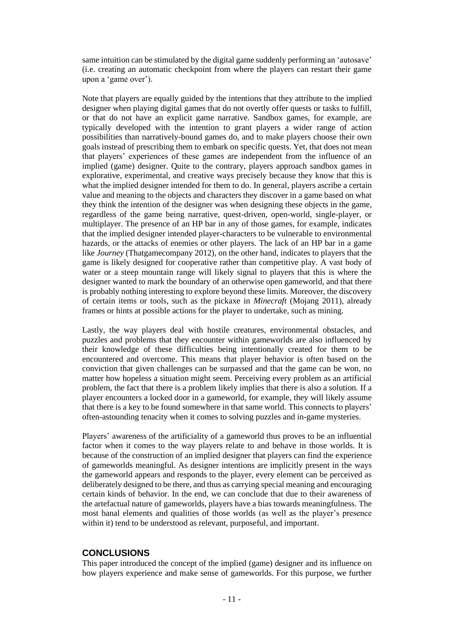same intuition can be stimulated by the digital game suddenly performing an 'autosave' (i.e. creating an automatic checkpoint from where the players can restart their game upon a 'game over').

Note that players are equally guided by the intentions that they attribute to the implied designer when playing digital games that do not overtly offer quests or tasks to fulfill, or that do not have an explicit game narrative. Sandbox games, for example, are typically developed with the intention to grant players a wider range of action possibilities than narratively-bound games do, and to make players choose their own goals instead of prescribing them to embark on specific quests. Yet, that does not mean that players' experiences of these games are independent from the influence of an implied (game) designer. Quite to the contrary, players approach sandbox games in explorative, experimental, and creative ways precisely because they know that this is what the implied designer intended for them to do. In general, players ascribe a certain value and meaning to the objects and characters they discover in a game based on what they think the intention of the designer was when designing these objects in the game, regardless of the game being narrative, quest-driven, open-world, single-player, or multiplayer. The presence of an HP bar in any of those games, for example, indicates that the implied designer intended player-characters to be vulnerable to environmental hazards, or the attacks of enemies or other players. The lack of an HP bar in a game like *Journey* (Thatgamecompany 2012), on the other hand, indicates to players that the game is likely designed for cooperative rather than competitive play. A vast body of water or a steep mountain range will likely signal to players that this is where the designer wanted to mark the boundary of an otherwise open gameworld, and that there is probably nothing interesting to explore beyond these limits. Moreover, the discovery of certain items or tools, such as the pickaxe in *Minecraft* (Mojang 2011), already frames or hints at possible actions for the player to undertake, such as mining.

Lastly, the way players deal with hostile creatures, environmental obstacles, and puzzles and problems that they encounter within gameworlds are also influenced by their knowledge of these difficulties being intentionally created for them to be encountered and overcome. This means that player behavior is often based on the conviction that given challenges can be surpassed and that the game can be won, no matter how hopeless a situation might seem. Perceiving every problem as an artificial problem, the fact that there is a problem likely implies that there is also a solution. If a player encounters a locked door in a gameworld, for example, they will likely assume that there is a key to be found somewhere in that same world. This connects to players' often-astounding tenacity when it comes to solving puzzles and in-game mysteries.

Players' awareness of the artificiality of a gameworld thus proves to be an influential factor when it comes to the way players relate to and behave in those worlds. It is because of the construction of an implied designer that players can find the experience of gameworlds meaningful. As designer intentions are implicitly present in the ways the gameworld appears and responds to the player, every element can be perceived as deliberately designed to be there, and thus as carrying special meaning and encouraging certain kinds of behavior. In the end, we can conclude that due to their awareness of the artefactual nature of gameworlds, players have a bias towards meaningfulness. The most banal elements and qualities of those worlds (as well as the player's presence within it) tend to be understood as relevant, purposeful, and important.

## **CONCLUSIONS**

This paper introduced the concept of the implied (game) designer and its influence on how players experience and make sense of gameworlds. For this purpose, we further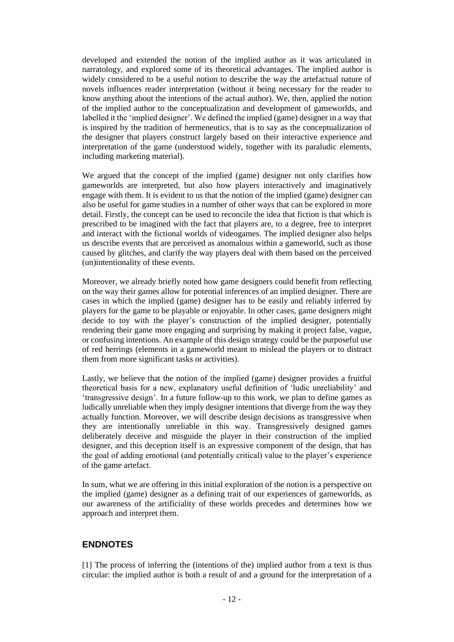developed and extended the notion of the implied author as it was articulated in narratology, and explored some of its theoretical advantages. The implied author is widely considered to be a useful notion to describe the way the artefactual nature of novels influences reader interpretation (without it being necessary for the reader to know anything about the intentions of the actual author). We, then, applied the notion of the implied author to the conceptualization and development of gameworlds, and labelled it the 'implied designer'. We defined the implied (game) designer in a way that is inspired by the tradition of hermeneutics, that is to say as the conceptualization of the designer that players construct largely based on their interactive experience and interpretation of the game (understood widely, together with its paraludic elements, including marketing material).

We argued that the concept of the implied (game) designer not only clarifies how gameworlds are interpreted, but also how players interactively and imaginatively engage with them. It is evident to us that the notion of the implied (game) designer can also be useful for game studies in a number of other ways that can be explored in more detail. Firstly, the concept can be used to reconcile the idea that fiction is that which is prescribed to be imagined with the fact that players are, to a degree, free to interpret and interact with the fictional worlds of videogames. The implied designer also helps us describe events that are perceived as anomalous within a gameworld, such as those caused by glitches, and clarify the way players deal with them based on the perceived (un)intentionality of these events.

Moreover, we already briefly noted how game designers could benefit from reflecting on the way their games allow for potential inferences of an implied designer. There are cases in which the implied (game) designer has to be easily and reliably inferred by players for the game to be playable or enjoyable. In other cases, game designers might decide to toy with the player's construction of the implied designer, potentially rendering their game more engaging and surprising by making it project false, vague, or confusing intentions. An example of this design strategy could be the purposeful use of red herrings (elements in a gameworld meant to mislead the players or to distract them from more significant tasks or activities).

Lastly, we believe that the notion of the implied (game) designer provides a fruitful theoretical basis for a new, explanatory useful definition of 'ludic unreliability' and 'transgressive design'. In a future follow-up to this work, we plan to define games as ludically unreliable when they imply designer intentions that diverge from the way they actually function. Moreover, we will describe design decisions as transgressive when they are intentionally unreliable in this way. Transgressively designed games deliberately deceive and misguide the player in their construction of the implied designer, and this deception itself is an expressive component of the design, that has the goal of adding emotional (and potentially critical) value to the player's experience of the game artefact.

In sum, what we are offering in this initial exploration of the notion is a perspective on the implied (game) designer as a defining trait of our experiences of gameworlds, as our awareness of the artificiality of these worlds precedes and determines how we approach and interpret them.

# **ENDNOTES**

[1] The process of inferring the (intentions of the) implied author from a text is thus circular: the implied author is both a result of and a ground for the interpretation of a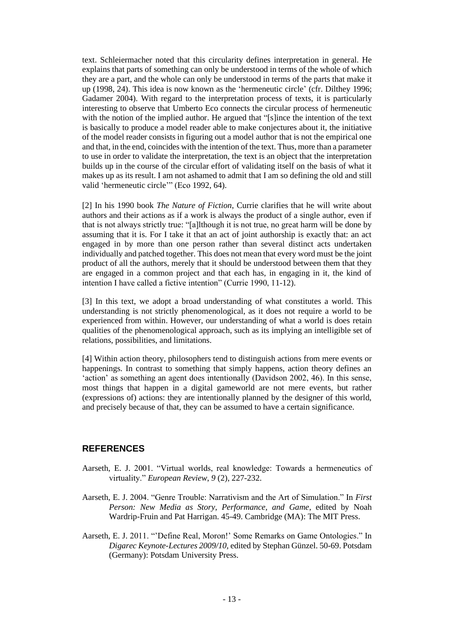text. Schleiermacher noted that this circularity defines interpretation in general. He explains that parts of something can only be understood in terms of the whole of which they are a part, and the whole can only be understood in terms of the parts that make it up (1998, 24). This idea is now known as the 'hermeneutic circle' (cfr. Dilthey 1996; Gadamer 2004). With regard to the interpretation process of texts, it is particularly interesting to observe that Umberto Eco connects the circular process of hermeneutic with the notion of the implied author. He argued that "[s]ince the intention of the text is basically to produce a model reader able to make conjectures about it, the initiative of the model reader consists in figuring out a model author that is not the empirical one and that, in the end, coincides with the intention of the text. Thus, more than a parameter to use in order to validate the interpretation, the text is an object that the interpretation builds up in the course of the circular effort of validating itself on the basis of what it makes up as its result. I am not ashamed to admit that I am so defining the old and still valid 'hermeneutic circle'" (Eco 1992, 64).

[2] In his 1990 book *The Nature of Fiction*, Currie clarifies that he will write about authors and their actions as if a work is always the product of a single author, even if that is not always strictly true: "[a]lthough it is not true, no great harm will be done by assuming that it is. For I take it that an act of joint authorship is exactly that: an act engaged in by more than one person rather than several distinct acts undertaken individually and patched together. This does not mean that every word must be the joint product of all the authors, merely that it should be understood between them that they are engaged in a common project and that each has, in engaging in it, the kind of intention I have called a fictive intention" (Currie 1990, 11-12).

[3] In this text, we adopt a broad understanding of what constitutes a world. This understanding is not strictly phenomenological, as it does not require a world to be experienced from within. However, our understanding of what a world is does retain qualities of the phenomenological approach, such as its implying an intelligible set of relations, possibilities, and limitations.

[4] Within action theory, philosophers tend to distinguish actions from mere events or happenings. In contrast to something that simply happens, action theory defines an 'action' as something an agent does intentionally (Davidson 2002, 46). In this sense, most things that happen in a digital gameworld are not mere events, but rather (expressions of) actions: they are intentionally planned by the designer of this world, and precisely because of that, they can be assumed to have a certain significance.

#### **REFERENCES**

- Aarseth, E. J. 2001. "Virtual worlds, real knowledge: Towards a hermeneutics of virtuality." *European Review*, *9* (2), 227-232.
- Aarseth, E. J. 2004. "Genre Trouble: Narrativism and the Art of Simulation." In *First Person: New Media as Story, Performance, and Game*, edited by Noah Wardrip-Fruin and Pat Harrigan. 45-49. Cambridge (MA): The MIT Press.
- Aarseth, E. J. 2011. "'Define Real, Moron!' Some Remarks on Game Ontologies." In *Digarec Keynote-Lectures 2009/10,* edited by Stephan Günzel. 50-69. Potsdam (Germany): Potsdam University Press.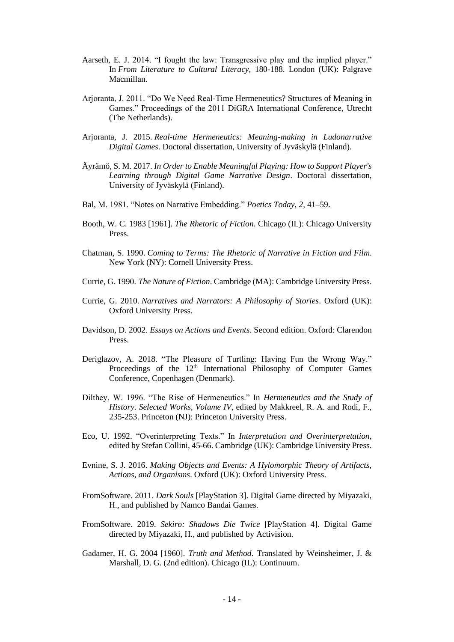- Aarseth, E. J. 2014. "I fought the law: Transgressive play and the implied player." In *From Literature to Cultural Literacy,* 180-188. London (UK): Palgrave Macmillan.
- Arjoranta, J. 2011. "Do We Need Real-Time Hermeneutics? Structures of Meaning in Games." Proceedings of the 2011 DiGRA International Conference, Utrecht (The Netherlands).
- Arjoranta, J. 2015. *Real-time Hermeneutics: Meaning-making in Ludonarrative Digital Games*. Doctoral dissertation, University of Jyväskylä (Finland).
- Äyrämö, S. M. 2017. *In Order to Enable Meaningful Playing: How to Support Player's Learning through Digital Game Narrative Design*. Doctoral dissertation, University of Jyväskylä (Finland).
- Bal, M. 1981. "Notes on Narrative Embedding." *Poetics Today*, *2*, 41–59.
- Booth, W. C. 1983 [1961]. *The Rhetoric of Fiction*. Chicago (IL): Chicago University Press.
- Chatman, S. 1990. *Coming to Terms: The Rhetoric of Narrative in Fiction and Film*. New York (NY): Cornell University Press.
- Currie, G. 1990. *The Nature of Fiction*. Cambridge (MA): Cambridge University Press.
- Currie, G. 2010. *Narratives and Narrators: A Philosophy of Stories*. Oxford (UK): Oxford University Press.
- Davidson, D. 2002. *Essays on Actions and Events*. Second edition. Oxford: Clarendon Press.
- Deriglazov, A. 2018. "The Pleasure of Turtling: Having Fun the Wrong Way." Proceedings of the 12<sup>th</sup> International Philosophy of Computer Games Conference, Copenhagen (Denmark).
- Dilthey, W. 1996. "The Rise of Hermeneutics." In *Hermeneutics and the Study of History*. *Selected Works, Volume IV*, edited by Makkreel, R. A. and Rodi, F., 235-253. Princeton (NJ): Princeton University Press.
- Eco, U. 1992. "Overinterpreting Texts." In *Interpretation and Overinterpretation,*  edited by Stefan Collini, 45-66. Cambridge (UK): Cambridge University Press.
- Evnine, S. J. 2016. *Making Objects and Events: A Hylomorphic Theory of Artifacts, Actions, and Organisms*. Oxford (UK): Oxford University Press.
- FromSoftware. 2011. *Dark Souls* [PlayStation 3]. Digital Game directed by Miyazaki, H., and published by Namco Bandai Games.
- FromSoftware. 2019. *Sekiro: Shadows Die Twice* [PlayStation 4]. Digital Game directed by Miyazaki, H., and published by Activision.
- Gadamer, H. G. 2004 [1960]. *Truth and Method*. Translated by Weinsheimer, J. & Marshall, D. G. (2nd edition). Chicago (IL): Continuum.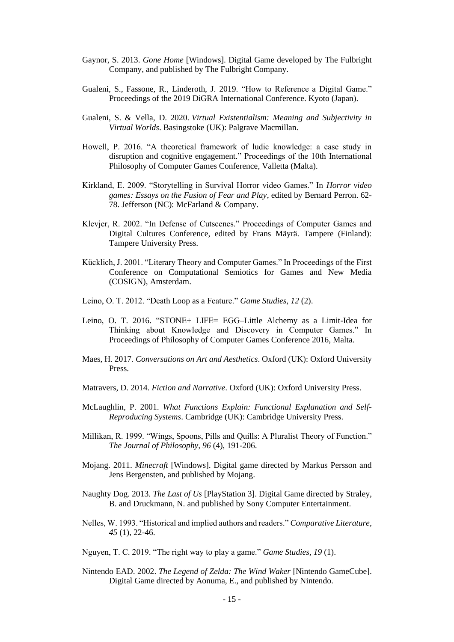- Gaynor, S. 2013. *Gone Home* [Windows]. Digital Game developed by The Fulbright Company, and published by The Fulbright Company.
- Gualeni, S., Fassone, R., Linderoth, J. 2019. "How to Reference a Digital Game." Proceedings of the 2019 DiGRA International Conference. Kyoto (Japan).
- Gualeni, S. & Vella, D. 2020. *Virtual Existentialism: Meaning and Subjectivity in Virtual Worlds*. Basingstoke (UK): Palgrave Macmillan.
- Howell, P. 2016. "A theoretical framework of ludic knowledge: a case study in disruption and cognitive engagement." Proceedings of the 10th International Philosophy of Computer Games Conference, Valletta (Malta).
- Kirkland, E. 2009. "Storytelling in Survival Horror video Games." In *Horror video games: Essays on the Fusion of Fear and Play*, edited by Bernard Perron. 62- 78. Jefferson (NC): McFarland & Company.
- Klevjer, R. 2002. "In Defense of Cutscenes." Proceedings of Computer Games and Digital Cultures Conference, edited by Frans Mäyrä. Tampere (Finland): Tampere University Press.
- Kücklich, J. 2001. "Literary Theory and Computer Games." In Proceedings of the First Conference on Computational Semiotics for Games and New Media (COSIGN), Amsterdam.
- Leino, O. T. 2012. "Death Loop as a Feature." *Game Studies, 12* (2).
- Leino, O. T. 2016. "STONE+ LIFE= EGG–Little Alchemy as a Limit-Idea for Thinking about Knowledge and Discovery in Computer Games." In Proceedings of Philosophy of Computer Games Conference 2016, Malta.
- Maes, H. 2017. *Conversations on Art and Aesthetics*. Oxford (UK): Oxford University Press.
- Matravers, D. 2014. *Fiction and Narrative*. Oxford (UK): Oxford University Press.
- McLaughlin, P. 2001. *What Functions Explain: Functional Explanation and Self-Reproducing Systems*. Cambridge (UK): Cambridge University Press.
- Millikan, R. 1999. "Wings, Spoons, Pills and Quills: A Pluralist Theory of Function." *The Journal of Philosophy, 96* (4), 191-206.
- Mojang. 2011. *Minecraft* [Windows]. Digital game directed by Markus Persson and Jens Bergensten, and published by Mojang.
- Naughty Dog. 2013. *The Last of Us* [PlayStation 3]. Digital Game directed by Straley, B. and Druckmann, N. and published by Sony Computer Entertainment.
- Nelles, W. 1993. "Historical and implied authors and readers." *Comparative Literature*, *45* (1), 22-46.
- Nguyen, T. C. 2019. "The right way to play a game." *Game Studies, 19* (1).
- Nintendo EAD. 2002. *The Legend of Zelda: The Wind Waker* [Nintendo GameCube]. Digital Game directed by Aonuma, E., and published by Nintendo.